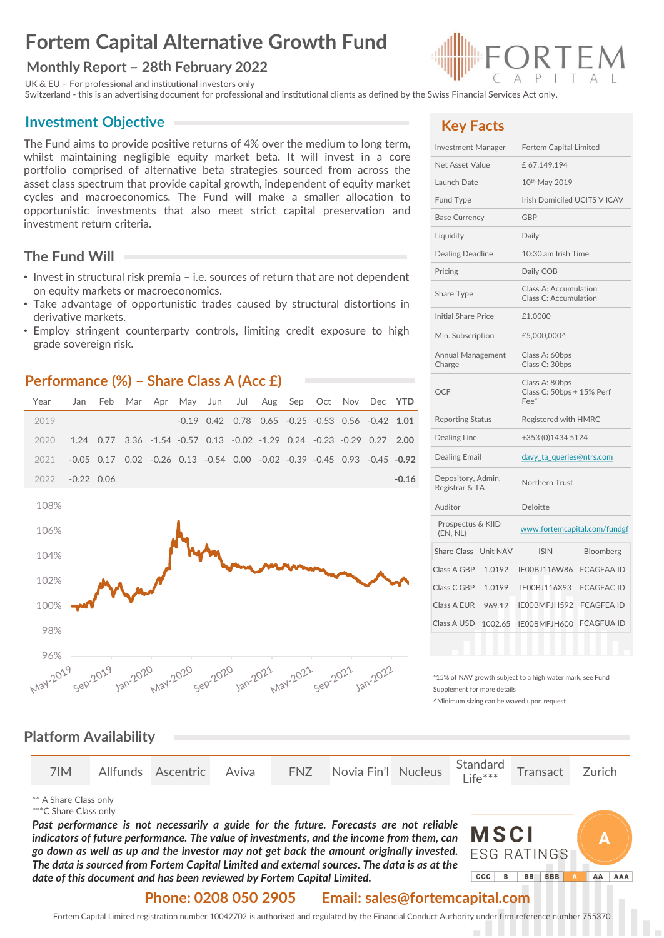# **Fortem Capital Alternative Growth Fund**

### **Monthly Report – 28th February 2022**

UK & EU – For professional and institutional investors only

Switzerland - this is an advertising document for professional and institutional clients as defined by the Swiss Financial Services Act only.

### **Investment Objective**

The Fund aims to provide positive returns of 4% over the medium to long term, whilst maintaining negligible equity market beta. It will invest in a core portfolio comprised of alternative beta strategies sourced from across the asset class spectrum that provide capital growth, independent of equity market cycles and macroeconomics. The Fund will make a smaller allocation to opportunistic investments that also meet strict capital preservation and investment return criteria.

## **The Fund Will**

- Invest in structural risk premia i.e. sources of return that are not dependent on equity markets or macroeconomics.
- Take advantage of opportunistic trades caused by structural distortions in derivative markets.
- Employ stringent counterparty controls, limiting credit exposure to high grade sovereign risk.

### **Performance (%) – Share Class A (Acc £)**





## **Key Facts**

| Investment Manager                   | Fortem Capital Limited                                 |  |  |  |  |
|--------------------------------------|--------------------------------------------------------|--|--|--|--|
| Net Asset Value                      | £67,149,194                                            |  |  |  |  |
| Launch Date                          | 10th May 2019                                          |  |  |  |  |
| <b>Fund Type</b>                     | Irish Domiciled UCITS V ICAV                           |  |  |  |  |
| <b>Base Currency</b>                 | <b>GBP</b>                                             |  |  |  |  |
| Liquidity                            | Daily                                                  |  |  |  |  |
| Dealing Deadline                     | 10:30 am Irish Time                                    |  |  |  |  |
| Pricing                              | Daily COB                                              |  |  |  |  |
| Share Type                           | Class A: Accumulation<br>Class C: Accumulation         |  |  |  |  |
| <b>Initial Share Price</b>           | £1.0000                                                |  |  |  |  |
| Min. Subscription                    | £5,000,000^                                            |  |  |  |  |
| Annual Management<br>Charge          | Class A: 60bps<br>Class C: 30bps                       |  |  |  |  |
| <b>OCF</b>                           | Class A: 80bps<br>Class C: 50bps + 15% Perf<br>$Fee^*$ |  |  |  |  |
| <b>Reporting Status</b>              | Registered with HMRC                                   |  |  |  |  |
| Dealing Line                         | +353 (0)1434 5124                                      |  |  |  |  |
| <b>Dealing Email</b>                 | davy_ta_queries@ntrs.com                               |  |  |  |  |
| Depository, Admin,<br>Registrar & TA | Northern Trust                                         |  |  |  |  |
| Auditor                              | Deloitte                                               |  |  |  |  |
| Prospectus & KIID<br>(EN, NL)        | www.fortemcapital.com/fundgf                           |  |  |  |  |
| <b>Share Class</b><br>Unit NAV       | <b>ISIN</b><br>Bloomberg                               |  |  |  |  |
| Class A GBP<br>1.0192                | IE00BJ116W86<br><b>FCAGFAA ID</b>                      |  |  |  |  |
| Class C GBP<br>1.0199                | IE00BJ116X93<br><b>FCAGFAC ID</b>                      |  |  |  |  |
| Class A EUR<br>969.12                | <b>FCAGFEA ID</b><br>IE00BMFJH592                      |  |  |  |  |
| Class A USD<br>1002.65               | <b>FCAGFUA ID</b><br>IE00BMFJH600                      |  |  |  |  |
|                                      |                                                        |  |  |  |  |

\*15% of NAV growth subject to a high water mark, see Fund Supplement for more details

^Minimum sizing can be waved upon request

### **Platform Availability**

|  |  |  |  |  | 7IM Allfunds Ascentric Aviva FNZ Novia Fin'l Nucleus Standard Transact Zurich |  |  |  |  |
|--|--|--|--|--|-------------------------------------------------------------------------------|--|--|--|--|
|--|--|--|--|--|-------------------------------------------------------------------------------|--|--|--|--|

\*\* A Share Class only

\*\*\*C Share Class only

*Past performance is not necessarily a guide for the future. Forecasts are not reliable indicators of future performance. The value of investments, and the income from them, can go down as well as up and the investor may not get back the amount originally invested. The data is sourced from Fortem Capital Limited and external sources. The data is as at the date of this document and has been reviewed by Fortem Capital Limited.*



### **Phone: 0208 050 2905 Email: sales@fortemcapital.com**

Fortem Capital Limited registration number 10042702 is authorised and regulated by the Financial Conduct Authority under firm reference number 755370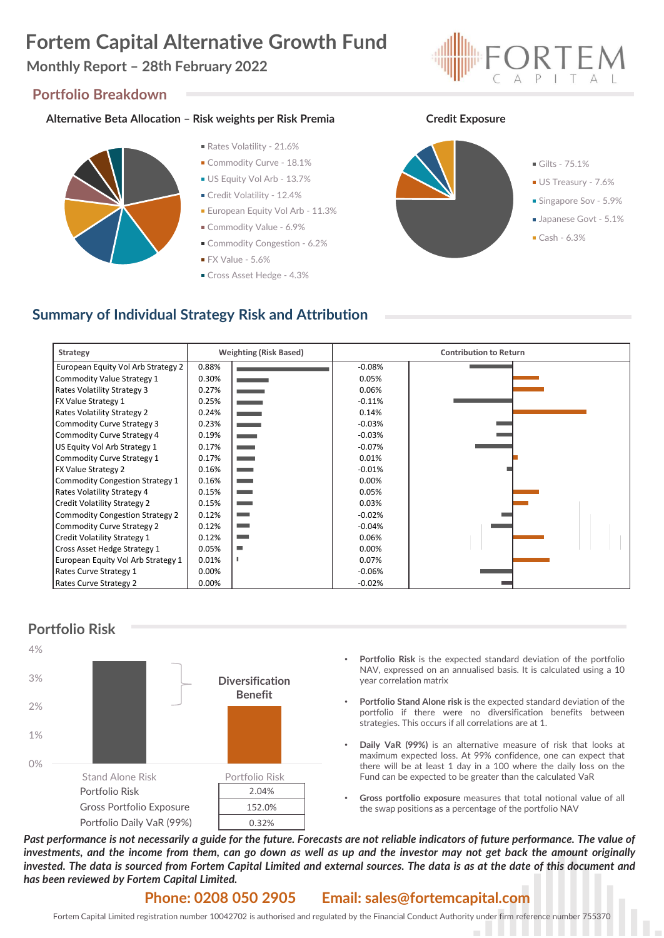# **Fortem Capital Alternative Growth Fund**

## **Monthly Report – 28th February 2022**

#### **Portfolio Breakdown**

#### **Alternative Beta Allocation – Risk weights per Risk Premia Credit Exposure**



- Rates Volatility 21.6%
- Commodity Curve 18.1%
- US Equity Vol Arb 13.7%
- Credit Volatility 12.4%
- **European Equity Vol Arb 11.3%**
- Commodity Value 6.9%
- Commodity Congestion 6.2%
- $\blacksquare$  FX Value 5.6%
- Cross Asset Hedge 4.3%





# **Summary of Individual Strategy Risk and Attribution**

| Strategy                               | <b>Weighting (Risk Based)</b> |                          | <b>Contribution to Return</b> |  |  |  |
|----------------------------------------|-------------------------------|--------------------------|-------------------------------|--|--|--|
| European Equity Vol Arb Strategy 2     | 0.88%                         |                          | $-0.08%$                      |  |  |  |
| Commodity Value Strategy 1             | 0.30%                         |                          | 0.05%                         |  |  |  |
| <b>Rates Volatility Strategy 3</b>     | 0.27%                         | and the company          | 0.06%                         |  |  |  |
| <b>FX Value Strategy 1</b>             | 0.25%                         | -                        | $-0.11%$                      |  |  |  |
| <b>Rates Volatility Strategy 2</b>     | 0.24%                         | $\equiv$                 | 0.14%                         |  |  |  |
| Commodity Curve Strategy 3             | 0.23%                         | -                        | $-0.03%$                      |  |  |  |
| Commodity Curve Strategy 4             | 0.19%                         | ۰                        | $-0.03%$                      |  |  |  |
| US Equity Vol Arb Strategy 1           | 0.17%                         | $\sim$                   | $-0.07%$                      |  |  |  |
| Commodity Curve Strategy 1             | 0.17%                         | <b>Contract Contract</b> | 0.01%                         |  |  |  |
| <b>FX Value Strategy 2</b>             | 0.16%                         | <b>Contract Contract</b> | $-0.01%$                      |  |  |  |
| <b>Commodity Congestion Strategy 1</b> | 0.16%                         |                          | 0.00%                         |  |  |  |
| Rates Volatility Strategy 4            | 0.15%                         |                          | 0.05%                         |  |  |  |
| Credit Volatility Strategy 2           | 0.15%                         | ٠                        | 0.03%                         |  |  |  |
| <b>Commodity Congestion Strategy 2</b> | 0.12%                         | ۰                        | $-0.02%$                      |  |  |  |
| <b>Commodity Curve Strategy 2</b>      | 0.12%                         |                          | $-0.04%$                      |  |  |  |
| <b>Credit Volatility Strategy 1</b>    | 0.12%                         |                          | 0.06%                         |  |  |  |
| Cross Asset Hedge Strategy 1           | 0.05%                         | $\overline{\phantom{a}}$ | 0.00%                         |  |  |  |
| European Equity Vol Arb Strategy 1     | 0.01%                         |                          | 0.07%                         |  |  |  |
| Rates Curve Strategy 1                 | 0.00%                         |                          | $-0.06%$                      |  |  |  |
| Rates Curve Strategy 2                 | 0.00%                         |                          | $-0.02%$                      |  |  |  |



- **Portfolio Risk** is the expected standard deviation of the portfolio NAV, expressed on an annualised basis. It is calculated using a 10 year correlation matrix
- **Portfolio Stand Alone risk** is the expected standard deviation of the portfolio if there were no diversification benefits between strategies. This occurs if all correlations are at 1.
- **Daily VaR (99%)** is an alternative measure of risk that looks at maximum expected loss. At 99% confidence, one can expect that there will be at least 1 day in a 100 where the daily loss on the Fund can be expected to be greater than the calculated VaR
- **Gross portfolio exposure** measures that total notional value of all the swap positions as a percentage of the portfolio NAV

Past performance is not necessarily a guide for the future. Forecasts are not reliable indicators of future performance. The value of investments, and the income from them, can go down as well as up and the investor may not get back the amount originally invested. The data is sourced from Fortem Capital Limited and external sources. The data is as at the date of this document and *has been reviewed by Fortem Capital Limited.*

#### **Phone: 0208 050 2905 Email: sales@fortemcapital.com**

Fortem Capital Limited registration number 10042702 is authorised and regulated by the Financial Conduct Authority under firm reference number 755370